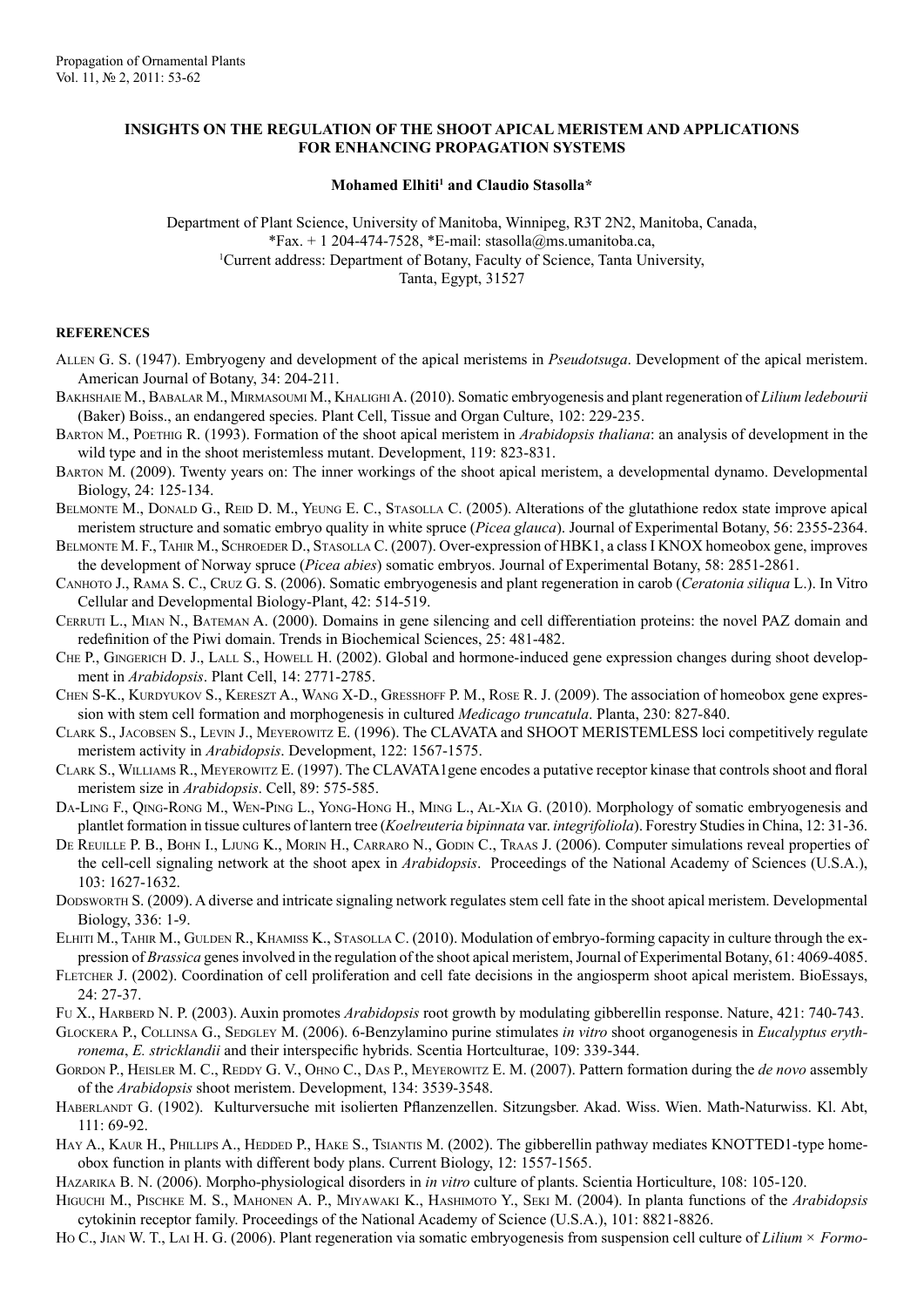## **INSIGHTS ON THE REGULATION OF THE SHOOT APICAL MERISTEM AND APPLICATIONS FOR ENHANCING PROPAGATION SYSTEMS**

## Mohamed Elhiti<sup>1</sup> and Claudio Stasolla\*

Department of Plant Science, University of Manitoba, Winnipeg, R3T 2N2, Manitoba, Canada, \*Fax. + 1 204-474-7528, \*E-mail: stasolla@ms.umanitoba.ca, Current address: Department of Botany, Faculty of Science, Tanta University, Tanta, Egypt, 31527

## **REFERENCES**

- Allen G. S. (1947). Embryogeny and development of the apical meristems in *Pseudotsuga*. Development of the apical meristem. American Journal of Botany, 34: 204-211.
- BAKHSHAIE M., BABALAR M., MIRMASOUMI M., KHALIGHI A. (2010). Somatic embryogenesis and plant regeneration of *Lilium ledebourii* (Baker) Boiss., an endangered species. Plant Cell, Tissue and Organ Culture, 102: 229-235.
- Barton M., Poethig R. (1993). Formation of the shoot apical meristem in *Arabidopsis thaliana*: an analysis of development in the wild type and in the shoot meristemless mutant. Development, 119: 823-831.
- Barton M. (2009). Twenty years on: The inner workings of the shoot apical meristem, a developmental dynamo. Developmental Biology, 24: 125-134.
- BELMONTE M., DONALD G., REID D. M., YEUNG E. C., STASOLLA C. (2005). Alterations of the glutathione redox state improve apical meristem structure and somatic embryo quality in white spruce (*Picea glauca*). Journal of Experimental Botany, 56: 2355-2364.
- Belmonte M. F., Tahir M., Schroeder D., Stasolla C. (2007). Over-expression of HBK1, a class I KNOX homeobox gene, improves the development of Norway spruce (*Picea abies*) somatic embryos. Journal of Experimental Botany, 58: 2851-2861.
- Canhoto J., Rama S. C., Cruz G. S. (2006). Somatic embryogenesis and plant regeneration in carob (*Ceratonia siliqua* L.). In Vitro Cellular and Developmental Biology-Plant, 42: 514-519.
- Cerruti L., Mian N., Bateman A. (2000). Domains in gene silencing and cell differentiation proteins: the novel PAZ domain and redefinition of the Piwi domain. Trends in Biochemical Sciences, 25: 481-482.
- Che P., Gingerich D. J., Lall S., Howell H. (2002). Global and hormone-induced gene expression changes during shoot development in *Arabidopsis*. Plant Cell, 14: 2771-2785.
- Chen S-K., Kurdyukov S., Kereszt A., Wang X-D., Gresshoff P. M., Rose R. J. (2009). The association of homeobox gene expression with stem cell formation and morphogenesis in cultured *Medicago truncatula*. Planta, 230: 827-840.
- Clark S., Jacobsen S., Levin J., Meyerowitz E. (1996). The CLAVATA and SHOOT MERISTEMLESS loci competitively regulate meristem activity in *Arabidopsis*. Development, 122: 1567-1575.
- Clark S., Williams R., Meyerowitz E. (1997). The CLAVATA1gene encodes a putative receptor kinase that controls shoot and floral meristem size in *Arabidopsis*. Cell, 89: 575-585.
- Da-Ling F., Qing-Rong M., Wen-Ping L., Yong-Hong H., Ming L., Al-Xia G. (2010). Morphology of somatic embryogenesis and plantlet formation in tissue cultures of lantern tree (*Koelreuteria bipinnata* var. *integrifoliola*). Forestry Studies in China, 12: 31-36.
- DE REUILLE P. B., BOHN I., LJUNG K., MORIN H., CARRARO N., GODIN C., TRAAS J. (2006). Computer simulations reveal properties of the cell-cell signaling network at the shoot apex in *Arabidopsis*. Proceedings of the National Academy of Sciences (U.S.A.), 103: 1627-1632.
- Dodsworth S. (2009). A diverse and intricate signaling network regulates stem cell fate in the shoot apical meristem. Developmental Biology, 336: 1-9.
- ELHITI M., TAHIR M., GULDEN R., KHAMISS K., STASOLLA C. (2010). Modulation of embryo-forming capacity in culture through the expression of *Brassica* genes involved in the regulation of the shoot apical meristem, Journal of Experimental Botany, 61: 4069-4085.
- FLETCHER J. (2002). Coordination of cell proliferation and cell fate decisions in the angiosperm shoot apical meristem. BioEssays, 24: 27-37.
- Fu X., Harberd N. P. (2003). Auxin promotes *Arabidopsis* root growth by modulating gibberellin response. Nature, 421: 740-743.
- GLOCKERA P., COLLINSA G., SEDGLEY M. (2006). 6-Benzylamino purine stimulates *in vitro* shoot organogenesis in *Eucalyptus erythronema*, *E. stricklandii* and their interspecific hybrids. Scentia Hortculturae, 109: 339-344.
- GORDON P., HEISLER M. C., REDDY G. V., OHNO C., DAS P., MEYEROWITZ E. M. (2007). Pattern formation during the *de novo* assembly of the *Arabidopsis* shoot meristem. Development, 134: 3539-3548.
- HABERLANDT G. (1902). Kulturversuche mit isolierten Pflanzenzellen. Sitzungsber. Akad. Wiss. Wien. Math-Naturwiss. Kl. Abt, 111: 69-92.
- HAY A., KAUR H., PHILLIPS A., HEDDED P., HAKE S., TSIANTIS M. (2002). The gibberellin pathway mediates KNOTTED1-type homeobox function in plants with different body plans. Current Biology, 12: 1557-1565.
- Hazarika B. N. (2006). Morpho-physiological disorders in *in vitro* culture of plants. Scientia Horticulture, 108: 105-120.
- Higuchi M., Pischke M. S., Mahonen A. P., Miyawaki K., Hashimoto Y., Seki M. (2004). In planta functions of the *Arabidopsis* cytokinin receptor family. Proceedings of the National Academy of Science (U.S.A.), 101: 8821-8826.
- Ho C., Jian W. T., Lai H. G. (2006). Plant regeneration via somatic embryogenesis from suspension cell culture of *Lilium × Formo-*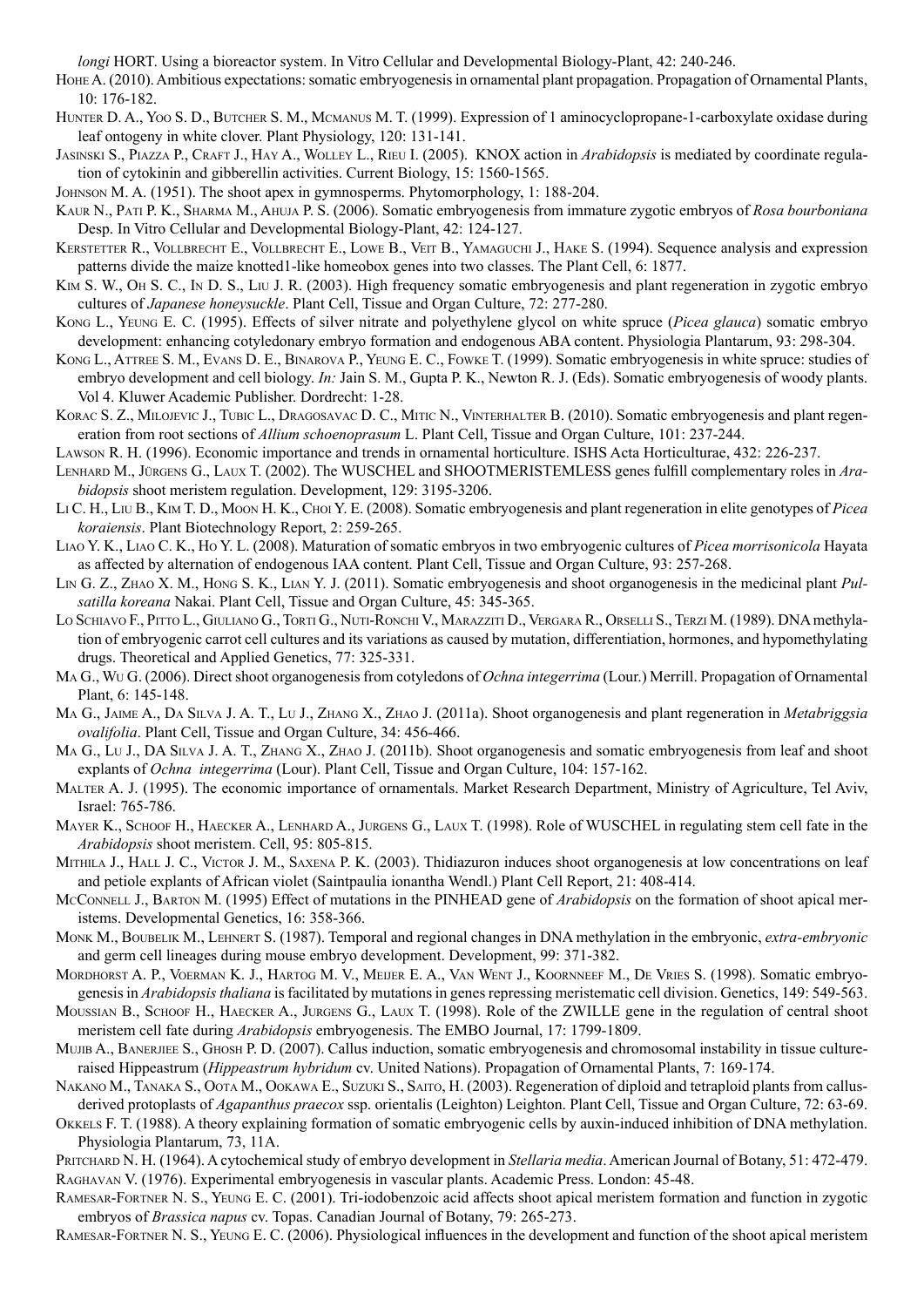*longi* HORT. Using a bioreactor system. In Vitro Cellular and Developmental Biology-Plant, 42: 240-246.

- HOHE A. (2010). Ambitious expectations: somatic embryogenesis in ornamental plant propagation. Propagation of Ornamental Plants, 10: 176-182.
- Hunter D. A., Yoo S. D., Butcher S. M., Mcmanus M. T. (1999). Expression of 1 aminocyclopropane-1-carboxylate oxidase during leaf ontogeny in white clover. Plant Physiology, 120: 131-141.
- Jasinski S., Piazza P., Craft J., Hay A., Wolley L., Rieu I. (2005). KNOX action in *Arabidopsis* is mediated by coordinate regulation of cytokinin and gibberellin activities. Current Biology, 15: 1560-1565.
- Johnson M. A. (1951). The shoot apex in gymnosperms. Phytomorphology, 1: 188-204.
- Kaur N., Pati P. K., Sharma M., Ahuja P. S. (2006). Somatic embryogenesis from immature zygotic embryos of *Rosa bourboniana* Desp. In Vitro Cellular and Developmental Biology-Plant, 42: 124-127.
- Kerstetter R., Vollbrecht E., Vollbrecht E., Lowe B., Veit B., Yamaguchi J., Hake S. (1994). Sequence analysis and expression patterns divide the maize knotted1-like homeobox genes into two classes. The Plant Cell, 6: 1877.
- Kim S. W., Oh S. C., In D. S., Liu J. R. (2003). High frequency somatic embryogenesis and plant regeneration in zygotic embryo cultures of *Japanese honeysuckle*. Plant Cell, Tissue and Organ Culture, 72: 277-280.
- Kong L., Yeung E. C. (1995). Effects of silver nitrate and polyethylene glycol on white spruce (*Picea glauca*) somatic embryo development: enhancing cotyledonary embryo formation and endogenous ABA content. Physiologia Plantarum, 93: 298-304.
- Kong L., Attree S. M., Evans D. E., Binarova P., Yeung E. C., Fowke T. (1999). Somatic embryogenesis in white spruce: studies of embryo development and cell biology. *In:* Jain S. M., Gupta P. K., Newton R. J. (Eds). Somatic embryogenesis of woody plants. Vol 4. Kluwer Academic Publisher. Dordrecht: 1-28.
- KORAC S. Z., MILOJEVIC J., TUBIC L., DRAGOSAVAC D. C., MITIC N., VINTERHALTER B. (2010). Somatic embryogenesis and plant regeneration from root sections of *Allium schoenoprasum* L. Plant Cell, Tissue and Organ Culture, 101: 237-244.
- Lawson R. H. (1996). Economic importance and trends in ornamental horticulture. ISHS Acta Horticulturae, 432: 226-237.
- Lenhard M., Jürgens G., Laux T. (2002). The WUSCHEL and SHOOTMERISTEMLESS genes fulfill complementary roles in *Arabidopsis* shoot meristem regulation. Development, 129: 3195-3206.
- Li C. H., Liu B., Kim T. D., Moon H. K., Choi Y. E. (2008). Somatic embryogenesis and plant regeneration in elite genotypes of *Picea koraiensis*. Plant Biotechnology Report, 2: 259-265.
- Liao Y. K., Liao C. K., Ho Y. L. (2008). Maturation of somatic embryos in two embryogenic cultures of *Picea morrisonicola* Hayata as affected by alternation of endogenous IAA content. Plant Cell, Tissue and Organ Culture, 93: 257-268.
- Lin G. Z., Zhao X. M., Hong S. K., Lian Y. J. (2011). Somatic embryogenesis and shoot organogenesis in the medicinal plant *Pulsatilla koreana* Nakai. Plant Cell, Tissue and Organ Culture, 45: 345-365.
- Lo Schiavo F., Pitto L., Giuliano G., Torti G., Nuti-Ronchi V., Marazziti D., Vergara R., Orselli S., Terzi M. (1989). DNA methylation of embryogenic carrot cell cultures and its variations as caused by mutation, differentiation, hormones, and hypomethylating drugs. Theoretical and Applied Genetics, 77: 325-331.
- Ma G., Wu G. (2006). Direct shoot organogenesis from cotyledons of *Ochna integerrima* (Lour.) Merrill. Propagation of Ornamental Plant, 6: 145-148.
- Ma G., Jaime A., Da Silva J. A. T., Lu J., Zhang X., Zhao J. (2011a). Shoot organogenesis and plant regeneration in *Metabriggsia ovalifolia*. Plant Cell, Tissue and Organ Culture, 34: 456-466.
- MA G., Lu J., DA SILVA J. A. T., ZHANG X., ZHAO J. (2011b). Shoot organogenesis and somatic embryogenesis from leaf and shoot explants of *Ochna integerrima* (Lour). Plant Cell, Tissue and Organ Culture, 104: 157-162.
- Malter A. J. (1995). The economic importance of ornamentals. Market Research Department, Ministry of Agriculture, Tel Aviv, Israel: 765-786.
- Mayer K., Schoof H., Haecker A., Lenhard A., Jurgens G., Laux T. (1998). Role of WUSCHEL in regulating stem cell fate in the *Arabidopsis* shoot meristem. Cell, 95: 805-815.
- MITHILA J., HALL J. C., VICTOR J. M., SAXENA P. K. (2003). Thidiazuron induces shoot organogenesis at low concentrations on leaf and petiole explants of African violet (Saintpaulia ionantha Wendl.) Plant Cell Report, 21: 408-414.
- McConnell J., Barton M. (1995) Effect of mutations in the PINHEAD gene of *Arabidopsis* on the formation of shoot apical meristems. Developmental Genetics, 16: 358-366.
- Monk M., Boubelik M., Lehnert S. (1987). Temporal and regional changes in DNA methylation in the embryonic, *extra-embryonic* and germ cell lineages during mouse embryo development. Development, 99: 371-382.
- Mordhorst A. P., Voerman K. J., Hartog M. V., Meijer E. A., Van Went J., Koornneef M., De Vries S. (1998). Somatic embryogenesis in *Arabidopsis thaliana* is facilitated by mutations in genes repressing meristematic cell division. Genetics, 149: 549-563.
- Moussian B., Schoof H., Haecker A., Jurgens G., Laux T. (1998). Role of the ZWILLE gene in the regulation of central shoot meristem cell fate during *Arabidopsis* embryogenesis. The EMBO Journal, 17: 1799-1809.
- MUJIB A., BANERJIEE S., GHOSH P. D. (2007). Callus induction, somatic embryogenesis and chromosomal instability in tissue cultureraised Hippeastrum (*Hippeastrum hybridum* cv. United Nations). Propagation of Ornamental Plants, 7: 169-174.
- NAKANO M., TANAKA S., OOTA M., OOKAWA E., SUZUKI S., SAITO, H. (2003). Regeneration of diploid and tetraploid plants from callusderived protoplasts of *Agapanthus praecox* ssp. orientalis (Leighton) Leighton. Plant Cell, Tissue and Organ Culture, 72: 63-69.
- Okkels F. T. (1988). A theory explaining formation of somatic embryogenic cells by auxin-induced inhibition of DNA methylation. Physiologia Plantarum, 73, 11A.
- Pritchard N. H. (1964). A cytochemical study of embryo development in *Stellaria media*. American Journal of Botany, 51: 472-479. Raghavan V. (1976). Experimental embryogenesis in vascular plants. Academic Press. London: 45-48.
- Ramesar-Fortner N. S., Yeung E. C. (2001). Tri-iodobenzoic acid affects shoot apical meristem formation and function in zygotic embryos of *Brassica napus* cv. Topas. Canadian Journal of Botany, 79: 265-273.
- Ramesar-Fortner N. S., Yeung E. C. (2006). Physiological influences in the development and function of the shoot apical meristem